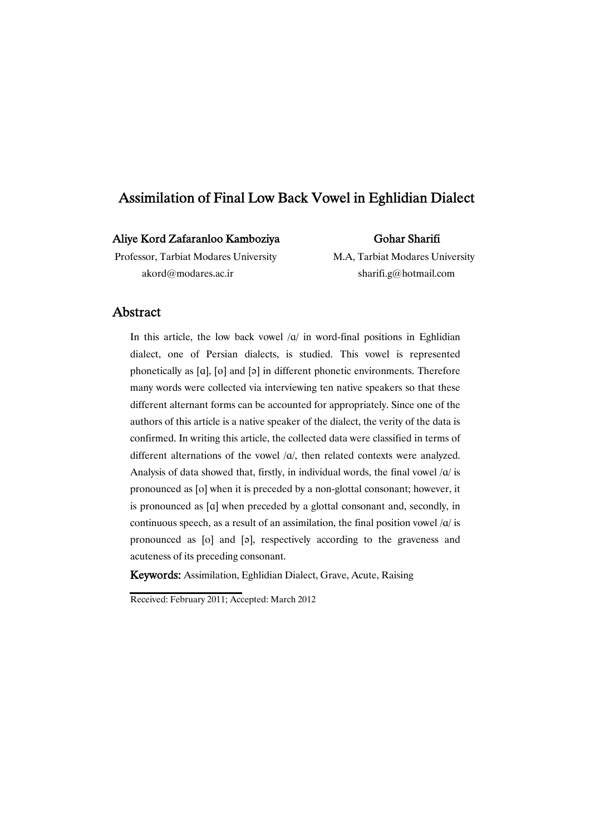# Assimilation of Final Low Back Vowel in Eghlidian Dialect

## Aliye Kord Zafaranloo Kamboziya

## Gohar Sharifi

Professor, Tarbiat Modares University M.A, Tarbiat Modares University akord@modares.ac.ir sharifi.g@hotmail.com

## **Abstract**

In this article, the low back vowel  $\alpha$  in word-final positions in Eghlidian dialect, one of Persian dialects, is studied. This vowel is represented phonetically as  $[a]$ ,  $[o]$  and  $[a]$  in different phonetic environments. Therefore many words were collected via interviewing ten native speakers so that these different alternant forms can be accounted for appropriately. Since one of the authors of this article is a native speaker of the dialect, the verity of the data is confirmed. In writing this article, the collected data were classified in terms of different alternations of the vowel  $\alpha/$ , then related contexts were analyzed. Analysis of data showed that, firstly, in individual words, the final vowel  $\alpha$  is pronounced as [o] when it is preceded by a non-glottal consonant; however, it is pronounced as [@] when preceded by a glottal consonant and, secondly, in continuous speech, as a result of an assimilation, the final position vowel  $\alpha$  is pronounced as [o] and [ə], respectively according to the graveness and acuteness of its preceding consonant.

Keywords: Assimilation, Eghlidian Dialect, Grave, Acute, Raising

Received: February 2011; Accepted: March 2012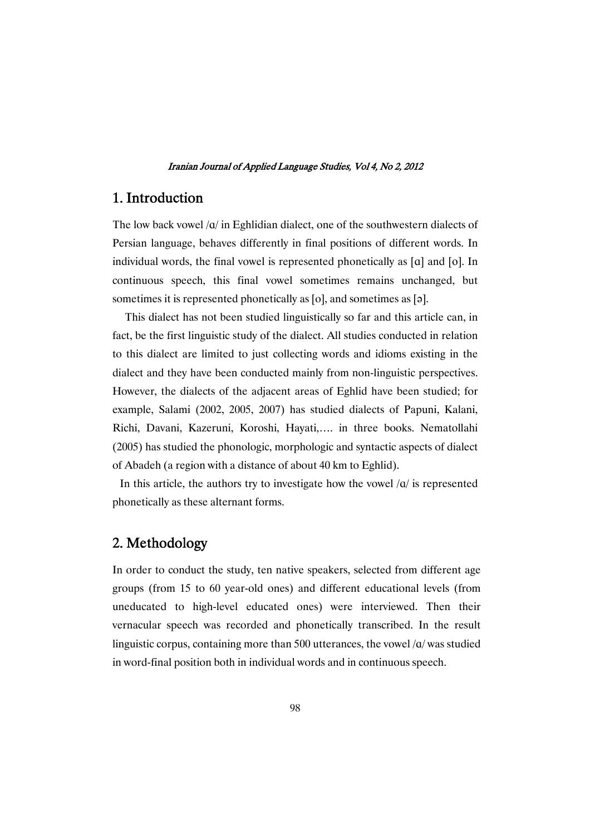# 1. Introduction

The low back vowel  $\alpha$  in Eghlidian dialect, one of the southwestern dialects of Persian language, behaves differently in final positions of different words. In individual words, the final vowel is represented phonetically as  $[a]$  and  $[o]$ . In continuous speech, this final vowel sometimes remains unchanged, but sometimes it is represented phonetically as [o], and sometimes as [a].

This dialect has not been studied linguistically so far and this article can, in fact, be the first linguistic study of the dialect. All studies conducted in relation to this dialect are limited to just collecting words and idioms existing in the dialect and they have been conducted mainly from non-linguistic perspectives. However, the dialects of the adjacent areas of Eghlid have been studied; for example, Salami (2002, 2005, 2007) has studied dialects of Papuni, Kalani, Richi, Davani, Kazeruni, Koroshi, Hayati,…. in three books. Nematollahi (2005) has studied the phonologic, morphologic and syntactic aspects of dialect of Abadeh (a region with a distance of about 40 km to Eghlid).

In this article, the authors try to investigate how the vowel  $\alpha$  is represented phonetically as these alternant forms.

# 2. Methodology

In order to conduct the study, ten native speakers, selected from different age groups (from 15 to 60 year-old ones) and different educational levels (from uneducated to high-level educated ones) were interviewed. Then their vernacular speech was recorded and phonetically transcribed. In the result linguistic corpus, containing more than 500 utterances, the vowel  $\alpha$  was studied in word-final position both in individual words and in continuous speech.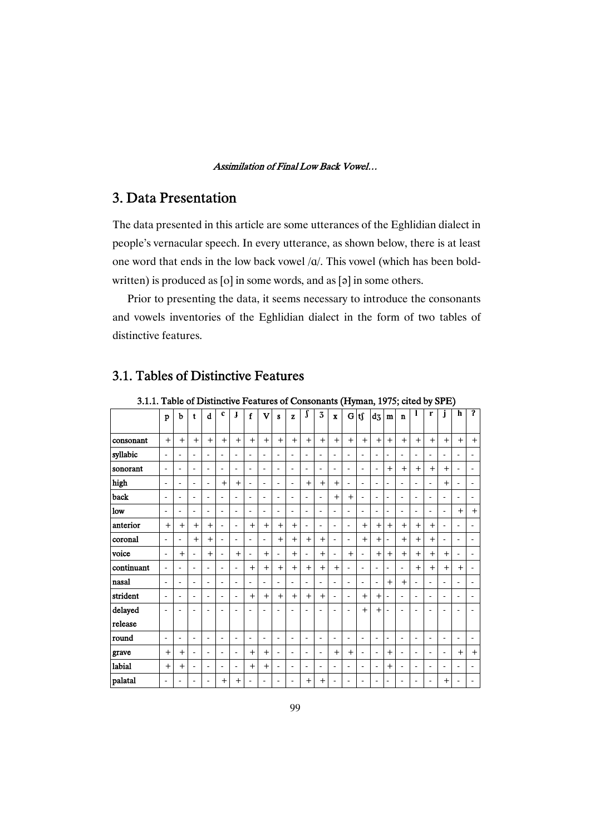# 3. Data Presentation

The data presented in this article are some utterances of the Eghlidian dialect in people's vernacular speech. In every utterance, as shown below, there is at least one word that ends in the low back vowel /@/. This vowel (which has been boldwritten) is produced as  $[0]$  in some words, and as  $[3]$  in some others.

Prior to presenting the data, it seems necessary to introduce the consonants and vowels inventories of the Eghlidian dialect in the form of two tables of distinctive features.

| 3.1.1. Table of Distinctive Features of Consonants (Hyman, 1975; cited by SPE) |                |                          |                          |           |                |                          |                |                         |                |                |           |                          |                         |                          |         |                          |                |                |           |                          |                          |                          |              |
|--------------------------------------------------------------------------------|----------------|--------------------------|--------------------------|-----------|----------------|--------------------------|----------------|-------------------------|----------------|----------------|-----------|--------------------------|-------------------------|--------------------------|---------|--------------------------|----------------|----------------|-----------|--------------------------|--------------------------|--------------------------|--------------|
|                                                                                | p              | b                        | t                        | d         | $\mathbf c$    | J                        | $\mathbf f$    | $\overline{\mathbf{V}}$ | s              | z              |           | 3                        | $\overline{\mathbf{x}}$ |                          | $G $ ts | $d_3$                    | $\mathbf{m}$   | $\mathbf n$    |           | r                        | j                        | h                        | $\mathbf{r}$ |
| consonant                                                                      | $+$            | $+$                      | $+$                      | $\ddot{}$ | $+$            | $+$                      | $+$            | $+$                     | $+$            | $+$            | $+$       | $+$                      | $+$                     | $+$                      | $+$     | $+$                      | $+$            | $+$            | $+$       | $+$                      | $+$                      | $+$                      | $^{+}$       |
| syllabic                                                                       |                | ٠                        | ٠                        | ٠         |                | $\overline{\phantom{a}}$ | ÷.             | ä,                      | $\blacksquare$ | ٠              | ٠         |                          | $\blacksquare$          | $\overline{\phantom{a}}$ | ٠       |                          | $\blacksquare$ |                | ٠         |                          |                          | ٠                        |              |
| sonorant                                                                       | ٠              | $\blacksquare$           | $\blacksquare$           | ÷         | $\blacksquare$ | $\blacksquare$           | $\blacksquare$ | ä,                      | $\blacksquare$ | $\blacksquare$ | ٠         | $\blacksquare$           | $\blacksquare$          | $\overline{a}$           | ÷       | $\blacksquare$           | $+$            | $+$            | $+$       | $+$                      | $+$                      | ٠                        |              |
| high                                                                           | ٠              | $\blacksquare$           | $\overline{\phantom{a}}$ | ÷.        | $+$            | $+$                      | ٠              | ٠                       | $\blacksquare$ | $\blacksquare$ | $^{+}$    | $+$                      | $+$                     | ÷.                       | ä,      | $\blacksquare$           | $\overline{a}$ | $\blacksquare$ | ä,        |                          | $+$                      | ٠                        |              |
| back                                                                           | Ĭ.             | ٠                        | ٠                        | ٠         |                | $\blacksquare$           | ٠              |                         | ۰              | $\blacksquare$ | ٠         | $\blacksquare$           | $+$                     | $\ddot{}$                | ÷.      | $\blacksquare$           | $\overline{a}$ | $\blacksquare$ | ٠         |                          |                          |                          |              |
| low                                                                            | $\overline{a}$ | ÷,                       | ÷,                       | ÷         |                | $\overline{a}$           | ÷,             | ä,                      | $\blacksquare$ | ä,             | ä,        | $\blacksquare$           | $\blacksquare$          | $\blacksquare$           | ÷.      | $\overline{\phantom{a}}$ | $\blacksquare$ | $\blacksquare$ | ÷,        | $\blacksquare$           | ÷,                       | $+$                      | $^{+}$       |
| anterior                                                                       | $+$            | $+$                      | $+$                      | $+$       |                |                          | $+$            | $+$                     | $+$            | $+$            | ٠         |                          | $\blacksquare$          | $\blacksquare$           | $+$     | $+$                      | $+$            | $+$            | $+$       | $+$                      |                          | ٠                        |              |
| coronal                                                                        |                | ÷,                       | $+$                      | $^{+}$    | ٠              | $\blacksquare$           | ٠              | ٠                       | $+$            | $+$            | $\ddot{}$ | $+$                      | $\blacksquare$          | ÷,                       | $+$     | $+$                      | ÷,             | $+$            | $\ddot{}$ | $+$                      | $\overline{\phantom{a}}$ | ٠                        |              |
| voice                                                                          | $\blacksquare$ | $+$                      | ä,                       | $+$       | ÷              | $+$                      | ä,             | $^{+}$                  | $\blacksquare$ | $+$            | ÷.        | $+$                      | $\blacksquare$          | $+$                      | ÷       | $+$                      | $+$            | $+$            | $^{+}$    | $+$                      | $+$                      | ä,                       |              |
| continuant                                                                     | ٠              | $\blacksquare$           | ٠                        | ÷.        | ٠              |                          | $+$            | $+$                     | $+$            | $+$            | $+$       | $+$                      | $+$                     | ÷,                       | ٠       | $\blacksquare$           | L.             | $\blacksquare$ | $+$       | $+$                      | $+$                      | $+$                      |              |
| nasal                                                                          | ä,             | $\blacksquare$           | ä,                       | ä,        |                | $\blacksquare$           | ä,             | ä,                      | ÷.             | $\blacksquare$ | ä,        |                          | $\overline{a}$          | ÷,                       | ä,      | $\blacksquare$           | $\overline{+}$ | $+$            | ä,        | $\blacksquare$           |                          | ä,                       |              |
| strident                                                                       | $\overline{a}$ | $\overline{\phantom{a}}$ | $\blacksquare$           | ÷.        |                | $\blacksquare$           | $+$            | $^{+}$                  | $+$            | $+$            | $^{+}$    | $+$                      | $\blacksquare$          | $\blacksquare$           | $+$     | $+$                      | ÷              | $\blacksquare$ | ٠         | $\blacksquare$           | $\overline{\phantom{a}}$ | $\overline{\phantom{a}}$ |              |
| delayed                                                                        |                |                          |                          |           |                |                          |                |                         |                |                |           |                          |                         | ۰                        | $+$     | $+$                      |                |                |           |                          |                          |                          |              |
| release                                                                        |                |                          |                          |           |                |                          |                |                         |                |                |           |                          |                         |                          |         |                          |                |                |           |                          |                          |                          |              |
| round                                                                          | $\overline{a}$ | $\overline{\phantom{a}}$ | ٠                        | ۰         | ٠              | $\blacksquare$           | ۰              | ٠                       | $\blacksquare$ | $\blacksquare$ | ٠         | $\overline{\phantom{a}}$ | $\blacksquare$          | ÷                        | ÷.      | $\overline{\phantom{a}}$ | ÷,             | $\blacksquare$ | ٠         | $\overline{\phantom{a}}$ | $\overline{\phantom{a}}$ | ٠                        |              |
| grave                                                                          | $+$            | $+$                      | $\blacksquare$           | ÷.        | ٠              | $\blacksquare$           | $+$            | $+$                     | $\blacksquare$ | $\blacksquare$ | ٠         | $\blacksquare$           | $+$                     | $+$                      | ÷       | $\blacksquare$           | $\ddot{}$      | $\blacksquare$ | ٠         | $\blacksquare$           |                          | $+$                      | $^{+}$       |
| labial                                                                         | $+$            | $+$                      | $\overline{a}$           | ÷         | ٠              | $\blacksquare$           | $+$            | $+$                     | ÷,             | $\blacksquare$ | ٠         | $\blacksquare$           | $\blacksquare$          | $\blacksquare$           | ٠       | $\blacksquare$           | $+$            | $\blacksquare$ | ٠         | $\blacksquare$           | $\blacksquare$           | $\overline{a}$           |              |
| palatal                                                                        |                | ٠                        |                          |           | $+$            | $+$                      |                |                         |                |                | $^{+}$    | $^{+}$                   |                         | ۰                        |         |                          | ۰              |                |           |                          | $+$                      |                          |              |

# 3.1. Tables of Distinctive Features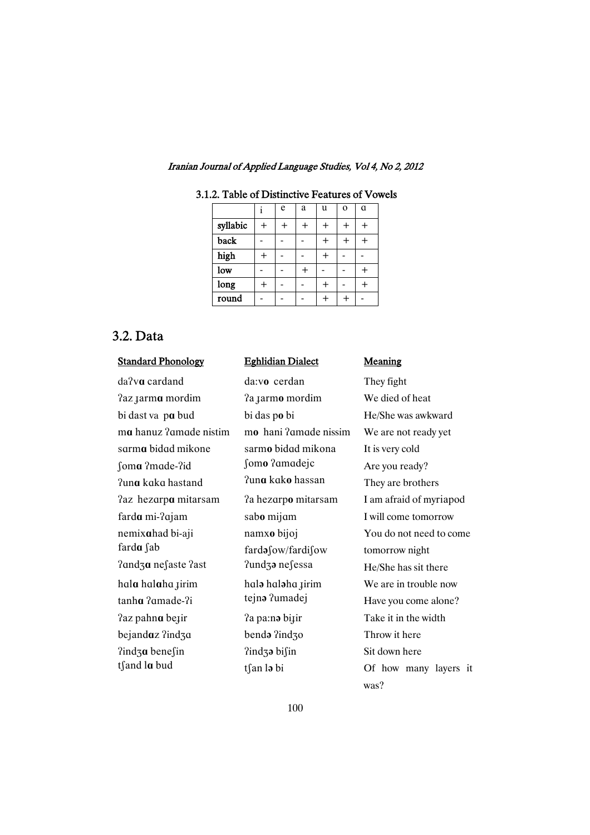|                         | e | a | u | $\Omega$ | a |
|-------------------------|---|---|---|----------|---|
| syllabic                |   |   |   |          |   |
| back                    |   |   |   |          |   |
| high                    |   |   |   |          |   |
| $\overline{\text{low}}$ |   |   |   |          |   |
| long                    |   |   |   |          |   |
| round                   |   |   |   |          |   |

### 3.1.2. Table of Distinctive Features of Vowels

# 3.2. Data

#### Standard Phonology Eghlidian

# da?v**a** cardand da:vo cerdan They fight  $2$ az  $\mu$  **a** larmo mordim We died of heat bi dast va pa bud bi das po bi control and an ai He/She was awkward **ma** hanuz ?amade nistim mo hani ?amade nissim We are not ready yet sarma bidad mikone sarmo bidad mikona It is very cold fom**a** ?made-?id fom**o** ?amadejc Are you ready? Puna kaka hastand <sup>?una</sup> kako hassan They are brothers  $2az$  hezarpa mitarsam  $2a$  hezarpo mitarsam I am afraid of myriapod farda mi-?ajam sabo mijam liim liim liim liiku varatud V nemixahad bi-aji namxo bijoj You do not need to come farda fab farda fow/fardifow tomorrow night  $2$ andza nefaste  $2$ ast  $2$ undza nefessa  $He/She$  has sit there hala halaha jirim hala halaha jirim We are in trouble now stanha ?amade-?i <sup>tejn</sup> in <sup>1</sup>umadej Have you come alone?  $2$ az pahn**a** be<sub>l</sub>is **a** and  $2a$  pain biliming the mass of the model of  $2a$  and  $2a$  in the width beiandaz ?ind<sub>3</sub> benda ?ind<sub>3</sub> benda ?ind<sub>3</sub> benda ?ind<sub>3</sub> and **Throw** it here  $2$ indz**a** benefin  $2$ indza bifin Sit down here

## Eghlidian Dialect Meaning

tsteright tsteright tsteright tsteright tsteright of how many layers it was?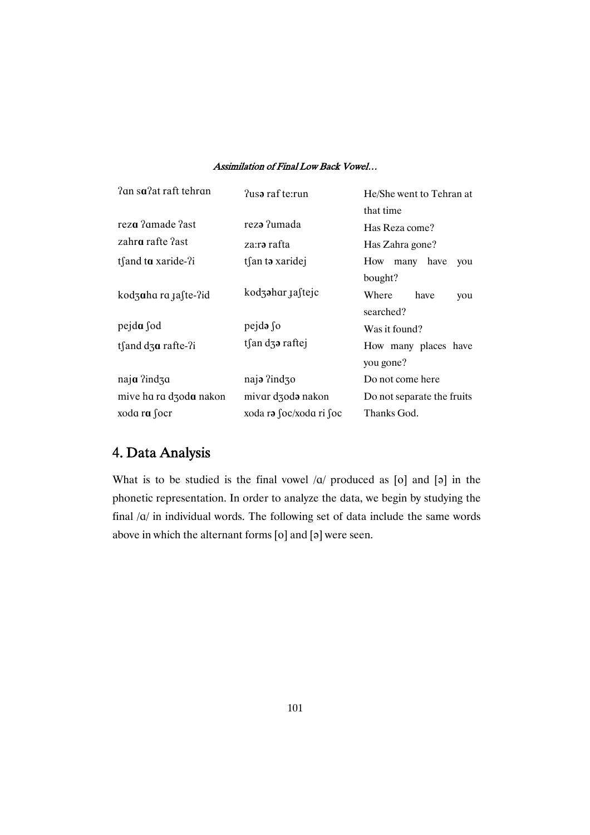| ?an sa?at raft tehran    | Pusa raf te:run              | He/She went to Tehran at   |  |  |  |
|--------------------------|------------------------------|----------------------------|--|--|--|
|                          |                              | that time                  |  |  |  |
| reza ?amade ?ast         | reza ?umada                  | Has Reza come?             |  |  |  |
| zahr <b>a</b> rafte ?ast | za:r <b>ə</b> rafta          | Has Zahra gone?            |  |  |  |
| tfand ta xaride-?i       | tsan to xaridej              | How<br>many have<br>you    |  |  |  |
|                          |                              | bought?                    |  |  |  |
| kodzaha ra 1aste-?id     | kodzahar <sub>Ja</sub> ftejc | Where<br>have<br>you       |  |  |  |
|                          |                              | searched?                  |  |  |  |
| pejda fod                | pejda so                     | Was it found?              |  |  |  |
| ts and $d_3a$ rafte-?i   | tsan dza raftej              | How many places have       |  |  |  |
|                          |                              | you gone?                  |  |  |  |
| naja ?ind3a              | naja ?ind30                  | Do not come here           |  |  |  |
| mive ha ra dzoda nakon   | mivar dzoda nakon            | Do not separate the fruits |  |  |  |
| xoda ra $\int$ ocr       | xoda ra foc/xoda ri foc      | Thanks God.                |  |  |  |

# 4. Data Analysis

What is to be studied is the final vowel  $\alpha$  produced as [o] and [a] in the phonetic representation. In order to analyze the data, we begin by studying the final /@/ in individual words. The following set of data include the same words above in which the alternant forms  $[0]$  and  $[3]$  were seen.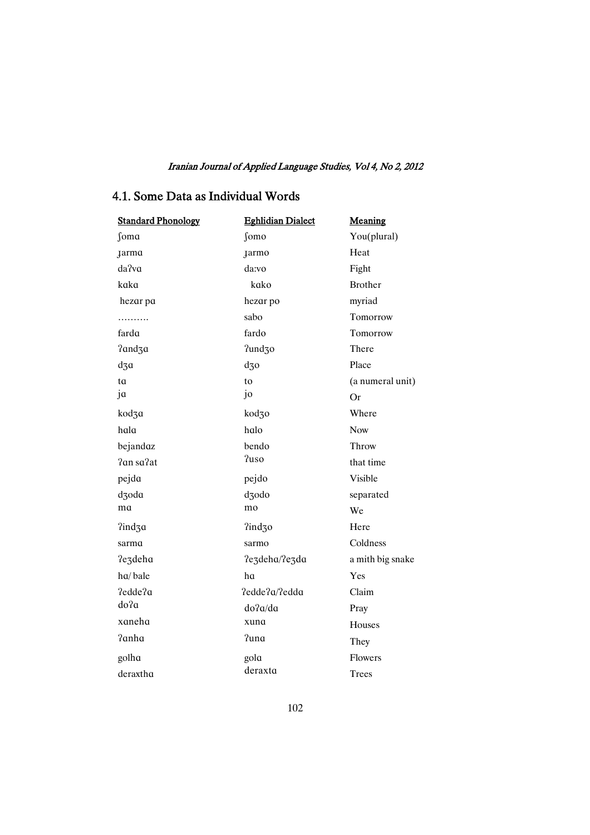## 4.1. Some Data as Individual Words

| <b>Standard Phonology</b> | <b>Eghlidian Dialect</b> | Meaning          |
|---------------------------|--------------------------|------------------|
| ∫oma                      | ∫omo                     | You(plural)      |
| <b>Jarma</b>              | <b>Jarmo</b>             | Heat             |
| da?va                     | da:vo                    | Fight            |
| kaka                      | kako                     | <b>Brother</b>   |
| hezar pa                  | hezar po                 | myriad           |
| .                         | sabo                     | Tomorrow         |
| fardɑ                     | fardo                    | Tomorrow         |
| ?and3a                    | ?und30                   | There            |
| $d_3a$                    | $d_{30}$                 | Place            |
| ta                        | to                       | (a numeral unit) |
| ja                        | jo                       | <b>Or</b>        |
| kod3a                     | kod30                    | Where            |
| hala                      | halo                     | Now              |
| bejandaz                  | bendo                    | Throw            |
| ?an sa?at                 | ?uso                     | that time        |
| pejda                     | pejdo                    | Visible          |
| dzoda                     | dzodo                    | separated        |
| ma                        | mo                       | We               |
| ?ind3a                    | ?ind30                   | Here             |
| sarma                     | sarmo                    | Coldness         |
| ?e3deha                   | ?e3deha/?e3da            | a mith big snake |
| ha/bale                   | ha                       | Yes              |
| ?edde?a                   | ?edde?a/?edda            | Claim            |
| do?a                      | do?a/da                  | Pray             |
| xaneha                    | xuna                     | Houses           |
| ?anha                     | ?una                     | They             |
| golha                     | gola                     | Flowers          |
| deraxtha                  | deraxta                  | Trees            |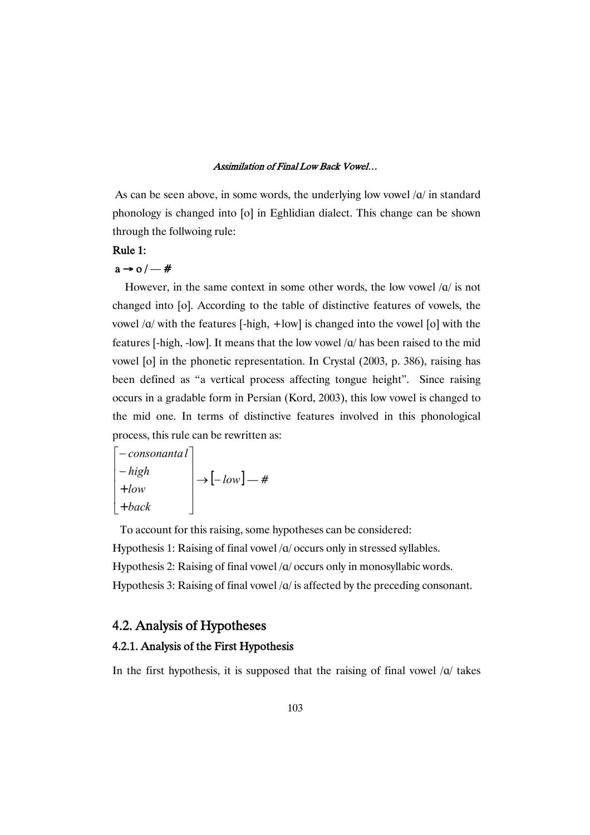As can be seen above, in some words, the underlying low vowel  $\alpha$  in standard phonology is changed into [o] in Eghlidian dialect. This change can be shown through the follwoing rule:

## Rule 1:

# $a \rightarrow o / -#$

However, in the same context in some other words, the low vowel  $\alpha$  is not changed into [o]. According to the table of distinctive features of vowels, the vowel  $\alpha$  with the features [-high, +low] is changed into the vowel [o] with the features [-high, -low]. It means that the low vowel /@/ has been raised to the mid vowel [o] in the phonetic representation. In Crystal (2003, p. 386), raising has been defined as "a vertical process affecting tongue height". Since raising occurs in a gradable form in Persian (Kord, 2003), this low vowel is changed to the mid one. In terms of distinctive features involved in this phonological process, this rule can be rewritten as:

$$
\begin{bmatrix}\n-consonanta l \\
-high \\
+low \\
+back\n\end{bmatrix}\n\rightarrow\n\begin{bmatrix}\n-low \end{bmatrix}\n\rightarrow #
$$

To account for this raising, some hypotheses can be considered: Hypothesis 1: Raising of final vowel / $\alpha$ / occurs only in stressed syllables. Hypothesis 2: Raising of final vowel /a/ occurs only in monosyllabic words. Hypothesis 3: Raising of final vowel  $\alpha$  is affected by the preceding consonant.

# 4.2. Analysis of Hypotheses

## 4.2.1. Analysis of the First Hypothesis

In the first hypothesis, it is supposed that the raising of final vowel  $\alpha$  takes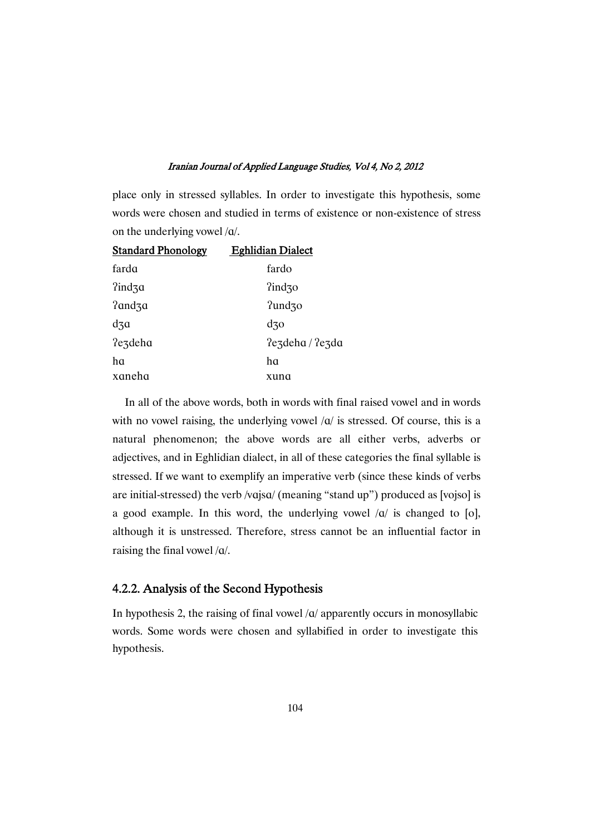place only in stressed syllables. In order to investigate this hypothesis, some words were chosen and studied in terms of existence or non-existence of stress on the underlying vowel /@/.

| <b>Standard Phonology</b> | <b>Eghlidian Dialect</b>  |
|---------------------------|---------------------------|
| farda                     | fardo                     |
| $2ind_3a$                 | $\frac{2 \text{ind}}{30}$ |
| ?and3a                    | ?und30                    |
| $d$ 3 $a$                 | $d$ 30                    |
| ?e3deha                   | $2$ ezdeha / $2$ ezda     |
| ha                        | ha                        |
| xaneha                    | xuna                      |

In all of the above words, both in words with final raised vowel and in words with no vowel raising, the underlying vowel  $\alpha$  is stressed. Of course, this is a natural phenomenon; the above words are all either verbs, adverbs or adjectives, and in Eghlidian dialect, in all of these categories the final syllable is stressed. If we want to exemplify an imperative verb (since these kinds of verbs are initial-stressed) the verb /vajsa/ (meaning "stand up") produced as [vojso] is a good example. In this word, the underlying vowel  $\alpha/$  is changed to [o], although it is unstressed. Therefore, stress cannot be an influential factor in raising the final vowel  $/a$ .

## 4.2.2. Analysis of the Second Hypothesis

In hypothesis 2, the raising of final vowel  $\alpha$  apparently occurs in monosyllabic words. Some words were chosen and syllabified in order to investigate this hypothesis.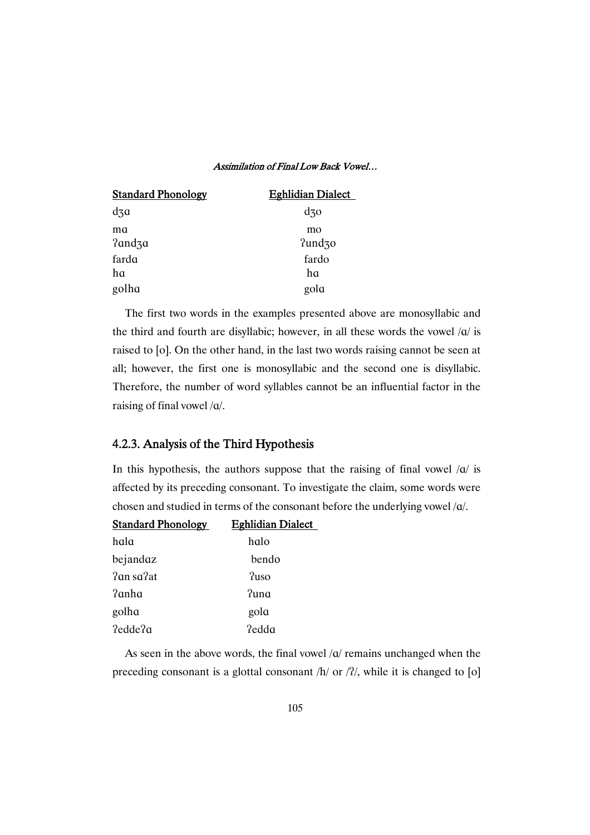| <b>Standard Phonology</b> | <b>Eghlidian Dialect</b> |
|---------------------------|--------------------------|
| $d$ 3 $\alpha$            | $d$ 30                   |
| ma<br>?and3a              | mo<br>?und30             |
| farda                     | fardo                    |
| ha                        | ha                       |
| golha                     | gola                     |

The first two words in the examples presented above are monosyllabic and the third and fourth are disyllabic; however, in all these words the vowel  $\alpha$  is raised to [o]. On the other hand, in the last two words raising cannot be seen at all; however, the first one is monosyllabic and the second one is disyllabic. Therefore, the number of word syllables cannot be an influential factor in the raising of final vowel /@/.

## 4.2.3. Analysis of the Third Hypothesis

In this hypothesis, the authors suppose that the raising of final vowel  $\sqrt{a}$  is affected by its preceding consonant. To investigate the claim, some words were chosen and studied in terms of the consonant before the underlying vowel /@/.

| <b>Standard Phonology</b> | <b>Eghlidian Dialect</b> |
|---------------------------|--------------------------|
|                           |                          |

| hala      | halo  |
|-----------|-------|
| bejandaz  | bendo |
| ?an sa?at | Puso? |
| ?anha     | ?una  |
| golha     | gola  |
| ?edde?a   | ?edda |

As seen in the above words, the final vowel  $\alpha$  remains unchanged when the preceding consonant is a glottal consonant  $/h/$  or  $/2/$ , while it is changed to [o]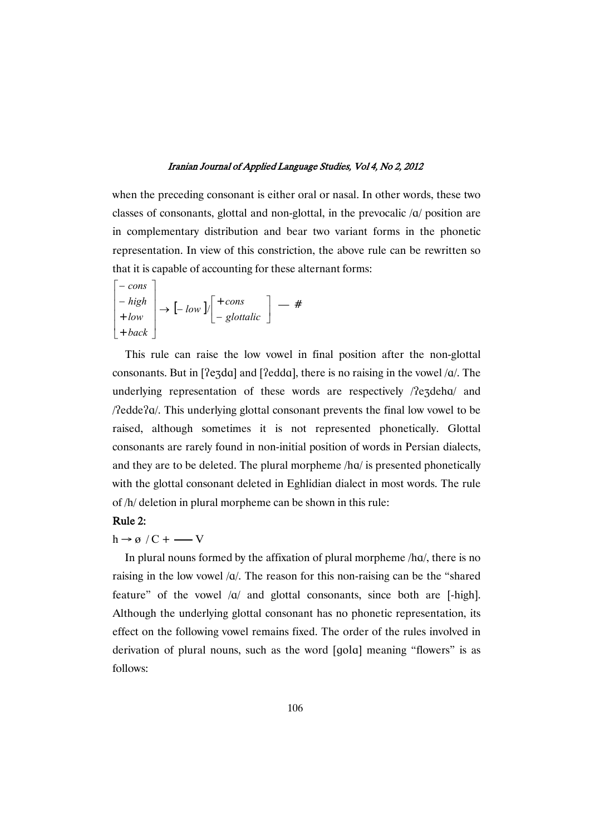when the preceding consonant is either oral or nasal. In other words, these two classes of consonants, glottal and non-glottal, in the prevocalic /@/ position are in complementary distribution and bear two variant forms in the phonetic representation. In view of this constriction, the above rule can be rewritten so that it is capable of accounting for these alternant forms:

$$
\begin{bmatrix} -\cos\\ -\text{high} \\ +\text{low} \\ +\text{back} \end{bmatrix} \rightarrow \begin{bmatrix} -\text{low} \\ -\text{low} \end{bmatrix} \begin{bmatrix} +\text{cons} \\ -\text{glottalic} \end{bmatrix} - #
$$

This rule can raise the low vowel in final position after the non-glottal consonants. But in [ $2e^d$ ] and [ $2edda$ ], there is no raising in the vowel / $a$ . The underlying representation of these words are respectively  $/$ ezdeha $/$  and  $\beta$ edde $2\alpha$ . This underlying glottal consonant prevents the final low vowel to be raised, although sometimes it is not represented phonetically. Glottal consonants are rarely found in non-initial position of words in Persian dialects, and they are to be deleted. The plural morpheme /hq/ is presented phonetically with the glottal consonant deleted in Eghlidian dialect in most words. The rule of /h/ deletion in plural morpheme can be shown in this rule:

## Rule 2:

 $\mathbf{r}$ 

## $h \rightarrow \emptyset$  / C + — V

In plural nouns formed by the affixation of plural morpheme /hq/, there is no raising in the low vowel  $\alpha$ . The reason for this non-raising can be the "shared" feature" of the vowel  $\alpha$  and glottal consonants, since both are [-high]. Although the underlying glottal consonant has no phonetic representation, its effect on the following vowel remains fixed. The order of the rules involved in derivation of plural nouns, such as the word  $[qola]$  meaning "flowers" is as follows: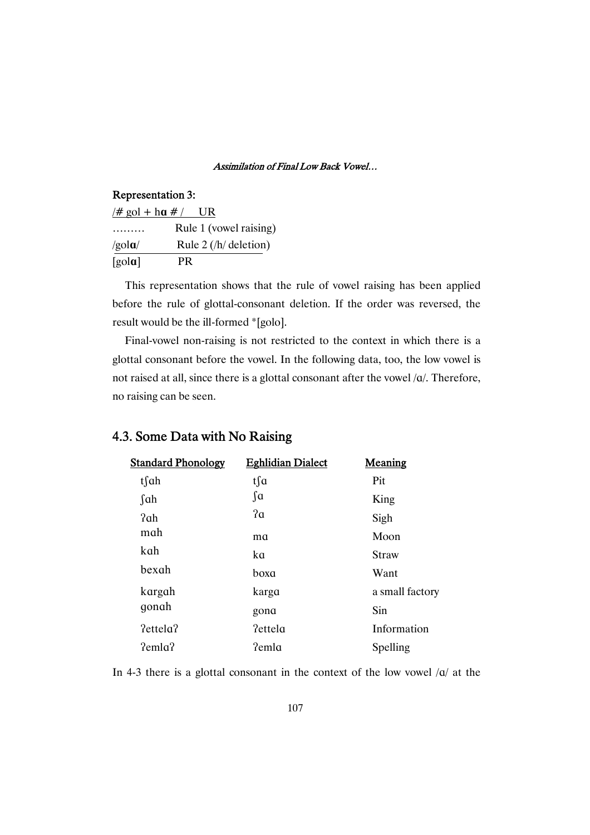## Representation 3:

| $#$ gol + ha # /            | UR                      |
|-----------------------------|-------------------------|
|                             | Rule 1 (vowel raising)  |
| /gola/                      | Rule $2$ (/h/ deletion) |
| $\lceil \text{gola} \rceil$ | PR.                     |

This representation shows that the rule of vowel raising has been applied before the rule of glottal-consonant deletion. If the order was reversed, the result would be the ill-formed \*[golo].

Final-vowel non-raising is not restricted to the context in which there is a glottal consonant before the vowel. In the following data, too, the low vowel is not raised at all, since there is a glottal consonant after the vowel /@/. Therefore, no raising can be seen.

| <b>Standard Phonology</b> | <b>Eghlidian Dialect</b> | Meaning         |
|---------------------------|--------------------------|-----------------|
| tsah                      | tsa                      | Pit             |
| $\int$ ah                 | $\int a$                 | King            |
| ?ah                       | 2a                       | Sigh            |
| mah                       | ma                       | Moon            |
| kah                       | ka                       | <b>Straw</b>    |
| bexah                     | boxa                     | Want            |
| kargah                    | karga                    | a small factory |
| gonah                     | gona                     | Sin             |
| ?ettela?                  | ?ettela                  | Information     |
| $2$ emla $2$              | ?emla                    | Spelling        |
|                           |                          |                 |

# 4.3. Some Data with No Raising

In 4-3 there is a glottal consonant in the context of the low vowel  $\alpha$  at the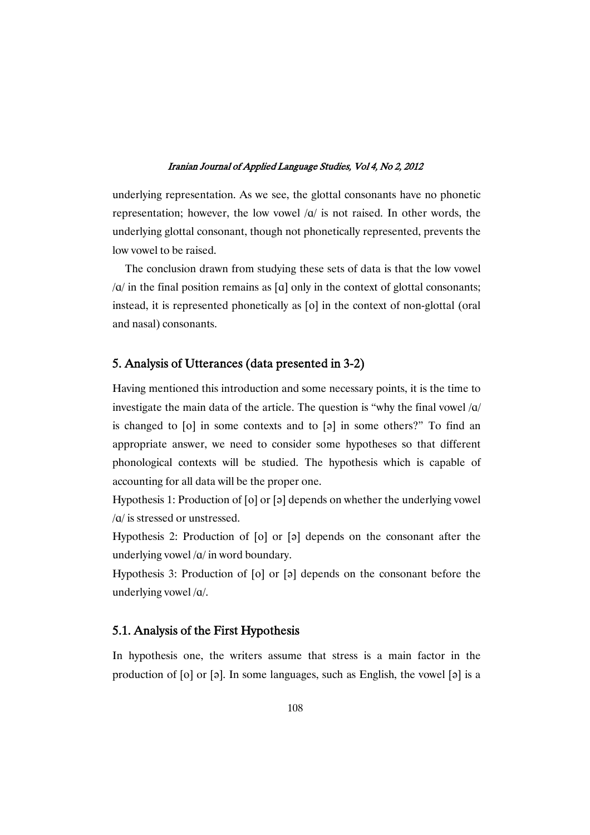underlying representation. As we see, the glottal consonants have no phonetic representation; however, the low vowel  $|q|$  is not raised. In other words, the underlying glottal consonant, though not phonetically represented, prevents the low vowel to be raised.

The conclusion drawn from studying these sets of data is that the low vowel  $\alpha$  in the final position remains as  $\alpha$  only in the context of glottal consonants; instead, it is represented phonetically as  $[0]$  in the context of non-glottal (oral and nasal) consonants.

## 5. Analysis of Utterances (data presented in 3-2)

Having mentioned this introduction and some necessary points, it is the time to investigate the main data of the article. The question is "why the final vowel  $\alpha$ is changed to  $[0]$  in some contexts and to  $[3]$  in some others?" To find an appropriate answer, we need to consider some hypotheses so that different phonological contexts will be studied. The hypothesis which is capable of accounting for all data will be the proper one.

Hypothesis 1: Production of  $[0]$  or  $[3]$  depends on whether the underlying vowel /@/ is stressed or unstressed.

Hypothesis 2: Production of  $[0]$  or  $[3]$  depends on the consonant after the underlying vowel /@/ in word boundary.

Hypothesis 3: Production of  $[0]$  or  $[9]$  depends on the consonant before the underlying vowel /@/.

## 5.1. Analysis of the First Hypothesis

In hypothesis one, the writers assume that stress is a main factor in the production of  $[0]$  or  $[0]$ . In some languages, such as English, the vowel  $[0]$  is a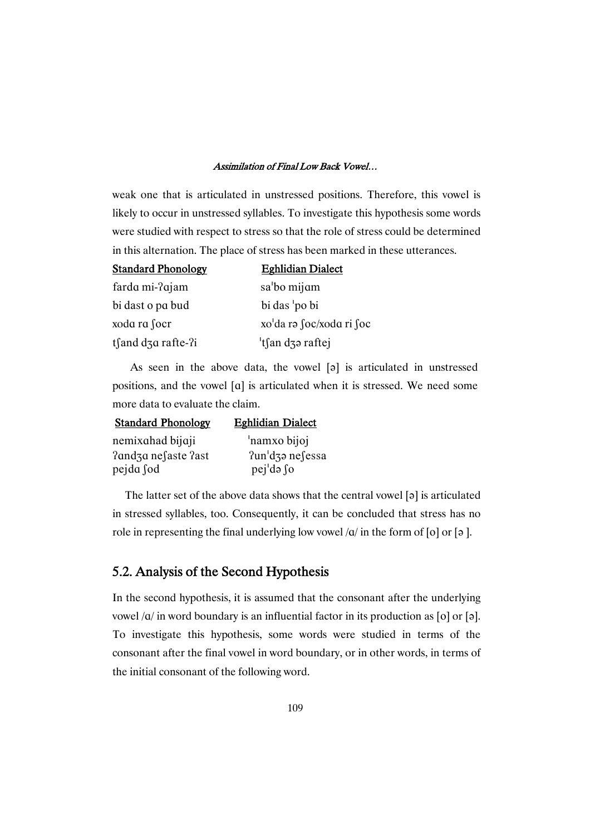weak one that is articulated in unstressed positions. Therefore, this vowel is likely to occur in unstressed syllables. To investigate this hypothesis some words were studied with respect to stress so that the role of stress could be determined in this alternation. The place of stress has been marked in these utterances.

| <b>Standard Phonology</b> | <b>Eghlidian Dialect</b> |
|---------------------------|--------------------------|
| farda mi-?ajam            | sa'bo mijam              |
| bi dast o pa bud          | bi das 'po bi            |
| xoda ra focr              | xo'da rə foc/xoda ri foc |
| tsand dza rafte- $?i$     | 'tsan dzə raftej         |

As seen in the above data, the vowel  $[\circ]$  is articulated in unstressed positions, and the vowel [@] is articulated when it is stressed. We need some more data to evaluate the claim.

| <b>Standard Phonology</b> | <b>Eghlidian Dialect</b> |
|---------------------------|--------------------------|
| nemixahad bijaji          | 'namxo bijoj             |
| ?and3a ne∫aste ?ast       | $2un'$ dzə nesessa       |
| pejda fod                 | pej'də so                |

The latter set of the above data shows that the central vowel  $[\circ]$  is articulated in stressed syllables, too. Consequently, it can be concluded that stress has no role in representing the final underlying low vowel  $\alpha/$  in the form of [o] or [a].

# 5.2. Analysis of the Second Hypothesis

In the second hypothesis, it is assumed that the consonant after the underlying vowel  $\alpha$  in word boundary is an influential factor in its production as [o] or [ə]. To investigate this hypothesis, some words were studied in terms of the consonant after the final vowel in word boundary, or in other words, in terms of the initial consonant of the following word.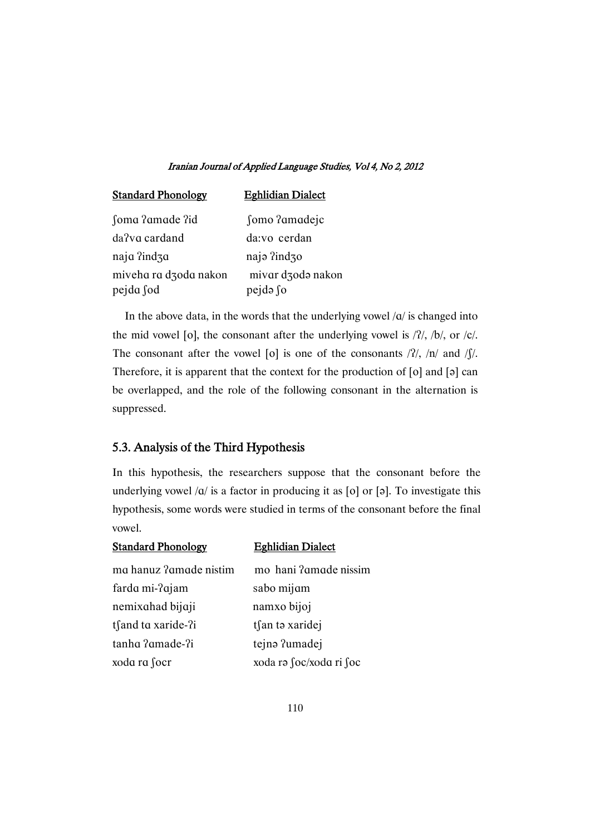| <b>Standard Phonology</b> | <b>Eghlidian Dialect</b> |
|---------------------------|--------------------------|
| Soma ?amade ?id           | fomo ?amadejc            |
| da?vq cardand             | da:vo cerdan             |
| naja ?ind3a               | naja ?ind30              |
| miveha ra dzoda nakon     | mivar dzodo nakon        |
| pejda fod                 | pejdə fo                 |

In the above data, in the words that the underlying vowel  $/a/$  is changed into the mid vowel [o], the consonant after the underlying vowel is  $/2$ ,  $/b$ , or  $/c$ . The consonant after the vowel [o] is one of the consonants  $\frac{1}{2}$ ,  $\frac{1}{n}$  and  $\frac{1}{\sqrt{2}}$ . Therefore, it is apparent that the context for the production of  $[0]$  and  $[9]$  can be overlapped, and the role of the following consonant in the alternation is suppressed.

## 5.3. Analysis of the Third Hypothesis

In this hypothesis, the researchers suppose that the consonant before the underlying vowel  $\alpha/$  is a factor in producing it as [o] or [ə]. To investigate this hypothesis, some words were studied in terms of the consonant before the final vowel.

| <b>Standard Phonology</b> | <b>Eghlidian Dialect</b> |
|---------------------------|--------------------------|
| ma hanuz ?amade nistim    | mo hani ? amade nissim   |
| farda mi-?ajam            | sabo mijam               |
| nemixahad bijaji          | namxo bijoj              |
| tsand to xaride-?i        | tsan to xaridej          |
| tanha ?amade-?i           | tejnə ?umadej            |
| xoda ra focr              | xoda rə ∫oc/xoda ri ∫oc  |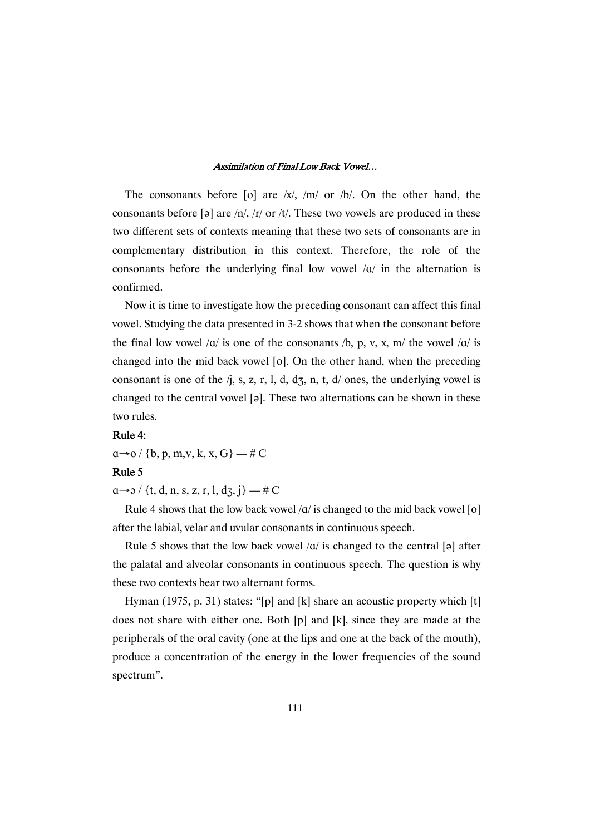The consonants before [o] are  $|x|$ ,  $|m|$  or  $|b|$ . On the other hand, the consonants before [a] are  $/n/$ ,  $/r/$  or  $/t/$ . These two vowels are produced in these two different sets of contexts meaning that these two sets of consonants are in complementary distribution in this context. Therefore, the role of the consonants before the underlying final low vowel  $\alpha$  in the alternation is confirmed.

Now it is time to investigate how the preceding consonant can affect this final vowel. Studying the data presented in 3-2 shows that when the consonant before the final low vowel  $\alpha$  is one of the consonants  $\beta$ , p, v, x, m/ the vowel  $\alpha$  is changed into the mid back vowel  $[0]$ . On the other hand, when the preceding consonant is one of the  $/$ j, s, z, r, l, d, d $\overline{3}$ , n, t, d/ ones, the underlying vowel is changed to the central vowel [a]. These two alternations can be shown in these two rules.

## Rule 4:

 $a \rightarrow o$  / {b, p, m, v, k, x, G} — # C

## Rule 5

 $a \rightarrow 2$  / {t, d, n, s, z, r, l, d<sub>3</sub>, j} — # C

Rule 4 shows that the low back vowel  $\alpha$  is changed to the mid back vowel [o] after the labial, velar and uvular consonants in continuous speech.

Rule 5 shows that the low back vowel  $\alpha$  is changed to the central [a] after the palatal and alveolar consonants in continuous speech. The question is why these two contexts bear two alternant forms.

Hyman (1975, p. 31) states: "[p] and [k] share an acoustic property which [t] does not share with either one. Both [p] and [k], since they are made at the peripherals of the oral cavity (one at the lips and one at the back of the mouth), produce a concentration of the energy in the lower frequencies of the sound spectrum".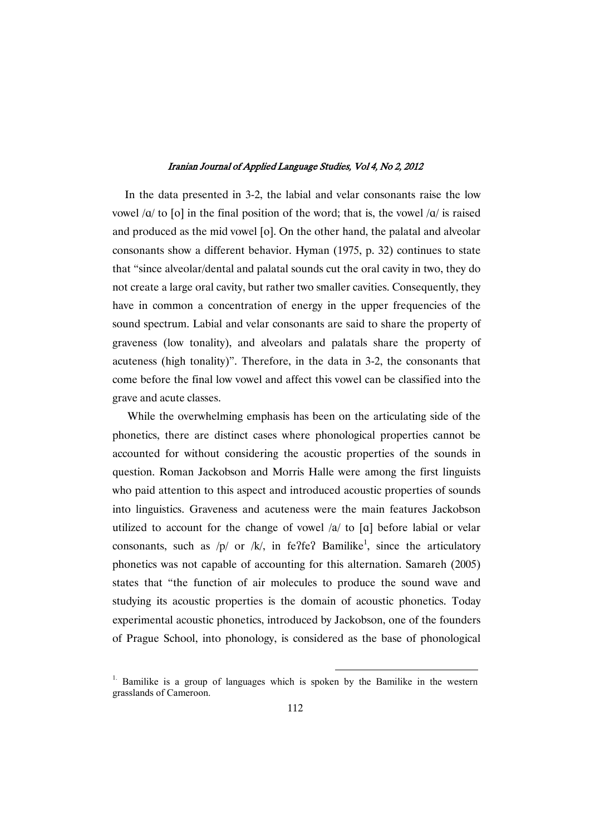In the data presented in 3-2, the labial and velar consonants raise the low vowel  $\alpha$  to [o] in the final position of the word; that is, the vowel  $\alpha$  is raised and produced as the mid vowel [o]. On the other hand, the palatal and alveolar consonants show a different behavior. Hyman (1975, p. 32) continues to state that "since alveolar/dental and palatal sounds cut the oral cavity in two, they do not create a large oral cavity, but rather two smaller cavities. Consequently, they have in common a concentration of energy in the upper frequencies of the sound spectrum. Labial and velar consonants are said to share the property of graveness (low tonality), and alveolars and palatals share the property of acuteness (high tonality)". Therefore, in the data in 3-2, the consonants that come before the final low vowel and affect this vowel can be classified into the grave and acute classes.

While the overwhelming emphasis has been on the articulating side of the phonetics, there are distinct cases where phonological properties cannot be accounted for without considering the acoustic properties of the sounds in question. Roman Jackobson and Morris Halle were among the first linguists who paid attention to this aspect and introduced acoustic properties of sounds into linguistics. Graveness and acuteness were the main features Jackobson utilized to account for the change of vowel  $\alpha$  to [a] before labial or velar consonants, such as  $/p/$  or  $/k/$ , in fe?fe? Bamilike<sup>1</sup>, since the articulatory phonetics was not capable of accounting for this alternation. Samareh (2005) states that "the function of air molecules to produce the sound wave and studying its acoustic properties is the domain of acoustic phonetics. Today experimental acoustic phonetics, introduced by Jackobson, one of the founders of Prague School, into phonology, is considered as the base of phonological

<sup>&</sup>lt;sup>1.</sup> Bamilike is a group of languages which is spoken by the Bamilike in the western grasslands of Cameroon.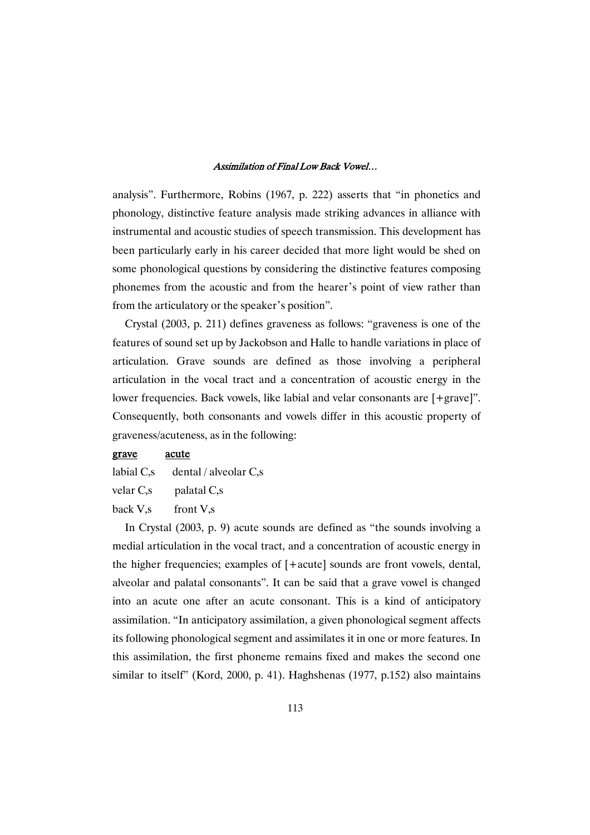analysis". Furthermore, Robins (1967, p. 222) asserts that "in phonetics and phonology, distinctive feature analysis made striking advances in alliance with instrumental and acoustic studies of speech transmission. This development has been particularly early in his career decided that more light would be shed on some phonological questions by considering the distinctive features composing phonemes from the acoustic and from the hearer's point of view rather than from the articulatory or the speaker's position".

Crystal (2003, p. 211) defines graveness as follows: "graveness is one of the features of sound set up by Jackobson and Halle to handle variations in place of articulation. Grave sounds are defined as those involving a peripheral articulation in the vocal tract and a concentration of acoustic energy in the lower frequencies. Back vowels, like labial and velar consonants are [+grave]". Consequently, both consonants and vowels differ in this acoustic property of graveness/acuteness, as in the following:

## grave acute

labial C,s dental / alveolar C,s

velar C,s palatal C,s

back V,s front V,s

In Crystal (2003, p. 9) acute sounds are defined as "the sounds involving a medial articulation in the vocal tract, and a concentration of acoustic energy in the higher frequencies; examples of [+acute] sounds are front vowels, dental, alveolar and palatal consonants". It can be said that a grave vowel is changed into an acute one after an acute consonant. This is a kind of anticipatory assimilation. "In anticipatory assimilation, a given phonological segment affects its following phonological segment and assimilates it in one or more features. In this assimilation, the first phoneme remains fixed and makes the second one similar to itself" (Kord, 2000, p. 41). Haghshenas (1977, p.152) also maintains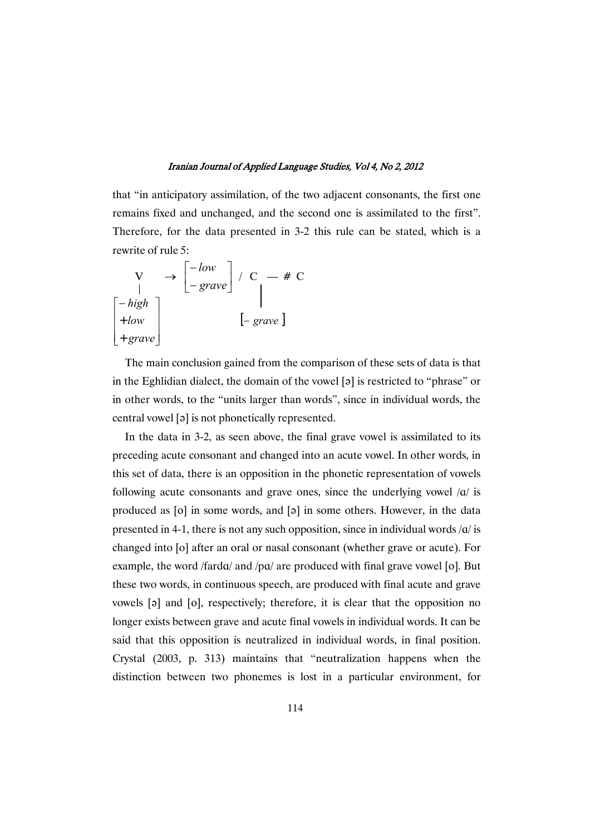that "in anticipatory assimilation, of the two adjacent consonants, the first one remains fixed and unchanged, and the second one is assimilated to the first". Therefore, for the data presented in 3-2 this rule can be stated, which is a rewrite of rule 5:

$$
\begin{array}{ccc}\nV & \rightarrow & [-low] \\
\downarrow & -\text{grave} \\
+ \text{low} \\
\downarrow + \text{grav} \\
\end{array}\n\bigg\vert \begin{array}{ccc}\n- & \text{if } C \\
\downarrow & - \text{if } C \\
\downarrow & - \text{grave}\n\end{array}\n\bigg\vert
$$

The main conclusion gained from the comparison of these sets of data is that in the Eghlidian dialect, the domain of the vowel  $[3]$  is restricted to "phrase" or in other words, to the "units larger than words", since in individual words, the central vowel [a] is not phonetically represented.

In the data in 3-2, as seen above, the final grave vowel is assimilated to its preceding acute consonant and changed into an acute vowel. In other words, in this set of data, there is an opposition in the phonetic representation of vowels following acute consonants and grave ones, since the underlying vowel  $\alpha$  is produced as [o] in some words, and [a] in some others. However, in the data presented in 4-1, there is not any such opposition, since in individual words  $\alpha$  is changed into [o] after an oral or nasal consonant (whether grave or acute). For example, the word /fard $q$ / and /p $q$ / are produced with final grave vowel [o]. But these two words, in continuous speech, are produced with final acute and grave vowels  $[\circ]$  and  $[\circ]$ , respectively; therefore, it is clear that the opposition no longer exists between grave and acute final vowels in individual words. It can be said that this opposition is neutralized in individual words, in final position. Crystal (2003, p. 313) maintains that "neutralization happens when the distinction between two phonemes is lost in a particular environment, for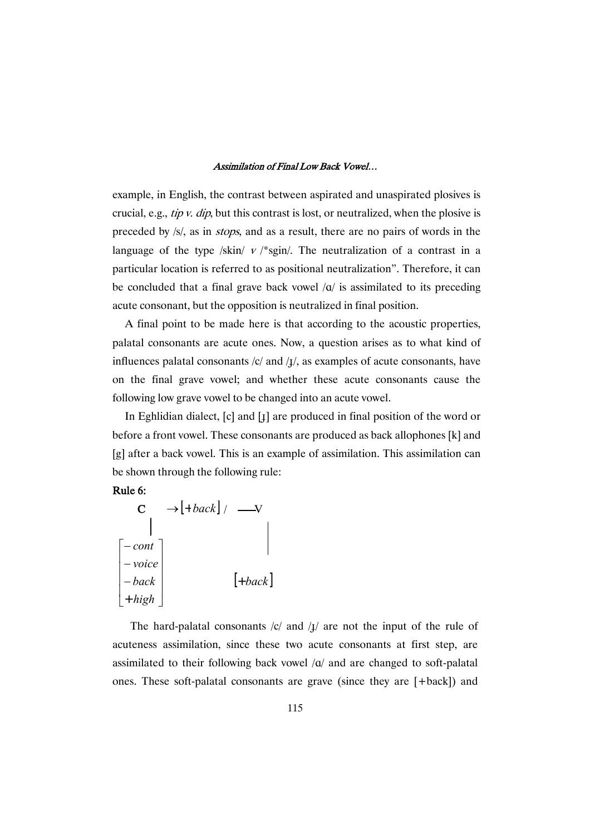example, in English, the contrast between aspirated and unaspirated plosives is crucial, e.g., *tip v. dip*, but this contrast is lost, or neutralized, when the plosive is preceded by /s/, as in stops, and as a result, there are no pairs of words in the language of the type /skin/  $v$  /\*sgin/. The neutralization of a contrast in a particular location is referred to as positional neutralization". Therefore, it can be concluded that a final grave back vowel  $\alpha$  is assimilated to its preceding acute consonant, but the opposition is neutralized in final position.

A final point to be made here is that according to the acoustic properties, palatal consonants are acute ones. Now, a question arises as to what kind of influences palatal consonants  $/c/$  and  $\frac{1}{l}$ , as examples of acute consonants, have on the final grave vowel; and whether these acute consonants cause the following low grave vowel to be changed into an acute vowel.

In Eghlidian dialect,  $[c]$  and  $[j]$  are produced in final position of the word or before a front vowel. These consonants are produced as back allophones [k] and [g] after a back vowel. This is an example of assimilation. This assimilation can be shown through the following rule:



| C.                                                                                            | $\rightarrow$ $\lfloor +back \rfloor$ / |           |
|-----------------------------------------------------------------------------------------------|-----------------------------------------|-----------|
|                                                                                               |                                         |           |
| $\begin{bmatrix} -\text{cont} \\ -\text{voice} \\ -\text{back} \\ +\text{high} \end{bmatrix}$ |                                         |           |
|                                                                                               |                                         |           |
|                                                                                               |                                         | $[+back]$ |
|                                                                                               |                                         |           |

The hard-palatal consonants  $|c|$  and  $|1|$  are not the input of the rule of acuteness assimilation, since these two acute consonants at first step, are assimilated to their following back vowel  $\alpha$  and are changed to soft-palatal ones. These soft-palatal consonants are grave (since they are [+back]) and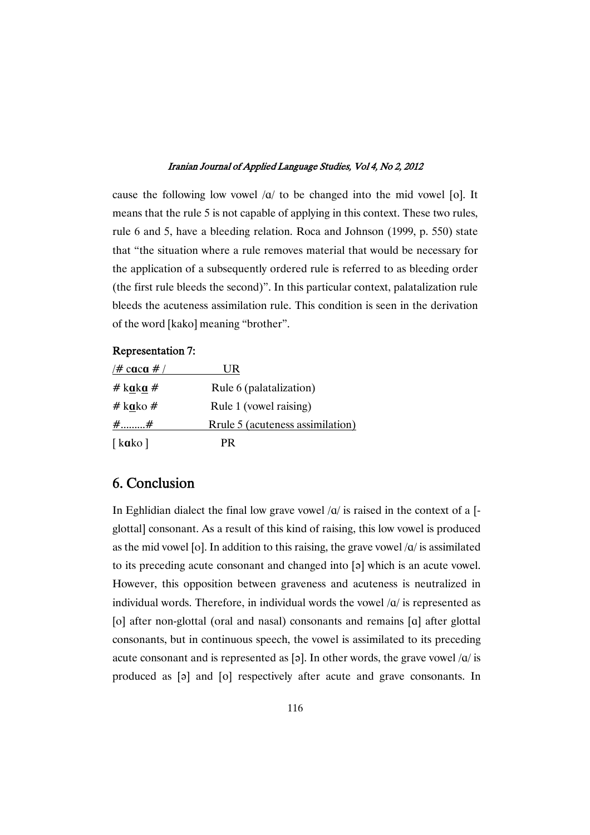cause the following low vowel  $\alpha$  to be changed into the mid vowel [o]. It means that the rule 5 is not capable of applying in this context. These two rules, rule 6 and 5, have a bleeding relation. Roca and Johnson (1999, p. 550) state that "the situation where a rule removes material that would be necessary for the application of a subsequently ordered rule is referred to as bleeding order (the first rule bleeds the second)". In this particular context, palatalization rule bleeds the acuteness assimilation rule. This condition is seen in the derivation of the word [kako] meaning "brother".

## Representation 7:

| /# caca # / | UR                               |
|-------------|----------------------------------|
| # kaka #    | Rule 6 (palatalization)          |
| # kako #    | Rule 1 (vowel raising)           |
| $#$ #       | Rrule 5 (acuteness assimilation) |
| [ $kabc$ ]  | <b>PR</b>                        |

# 6. Conclusion

In Eghlidian dialect the final low grave vowel  $\alpha$  is raised in the context of a [glottal] consonant. As a result of this kind of raising, this low vowel is produced as the mid vowel [o]. In addition to this raising, the grave vowel  $\alpha$  is assimilated to its preceding acute consonant and changed into  $[9]$  which is an acute vowel. However, this opposition between graveness and acuteness is neutralized in individual words. Therefore, in individual words the vowel  $\alpha$  is represented as [o] after non-glottal (oral and nasal) consonants and remains [@] after glottal consonants, but in continuous speech, the vowel is assimilated to its preceding acute consonant and is represented as [a]. In other words, the grave vowel  $\alpha$  is produced as [a] and [o] respectively after acute and grave consonants. In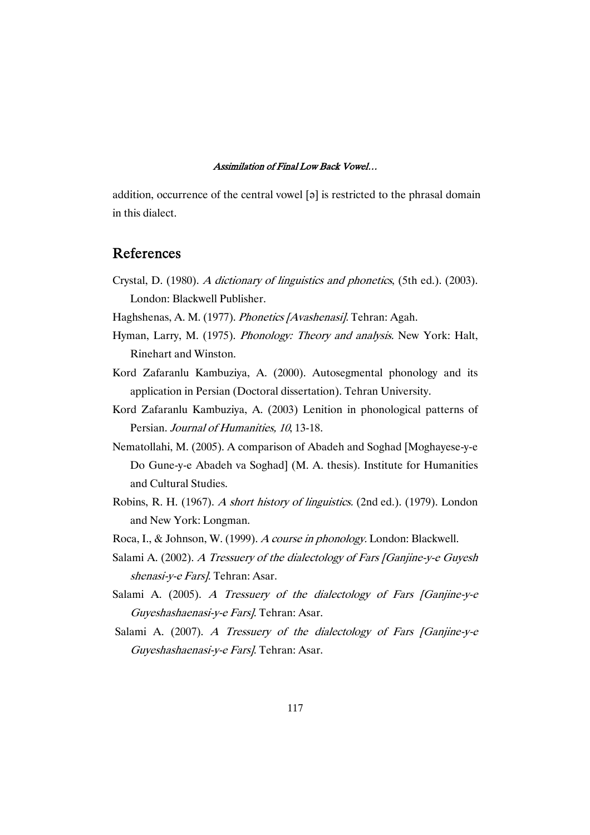addition, occurrence of the central vowel [a] is restricted to the phrasal domain in this dialect.

# References

- Crystal, D. (1980). <sup>A</sup> dictionary of linguistics and phonetics, (5th ed.). (2003). London: Blackwell Publisher.
- Haghshenas, A. M. (1977). Phonetics [Avashenasi]. Tehran: Agah.
- Hyman, Larry, M. (1975). Phonology: Theory and analysis. New York: Halt, Rinehart and Winston.
- Kord Zafaranlu Kambuziya, A. (2000). Autosegmental phonology and its application in Persian (Doctoral dissertation). Tehran University.
- Kord Zafaranlu Kambuziya, A. (2003) Lenition in phonological patterns of Persian. Journal of Humanities, 10, 13-18.
- Nematollahi, M. (2005). A comparison of Abadeh and Soghad [Moghayese-y-e Do Gune-y-e Abadeh va Soghad] (M. A. thesis). Institute for Humanities and Cultural Studies.
- Robins, R. H. (1967). <sup>A</sup> short history of linguistics. (2nd ed.). (1979). London and New York: Longman.
- Roca, I., & Johnson, W. (1999). <sup>A</sup> course in phonology. London: Blackwell.
- Salami A. (2002). A Tressuery of the dialectology of Fars [Ganjine-y-e Guyesh shenasi-y-e Fars]. Tehran: Asar.
- Salami A. (2005). A Tressuery of the dialectology of Fars [Ganjine-y-e Guyeshashaenasi-y-e Fars]. Tehran: Asar.
- Salami A. (2007). A Tressuery of the dialectology of Fars [Ganjine-y-e Guyeshashaenasi-y-e Fars]. Tehran: Asar.